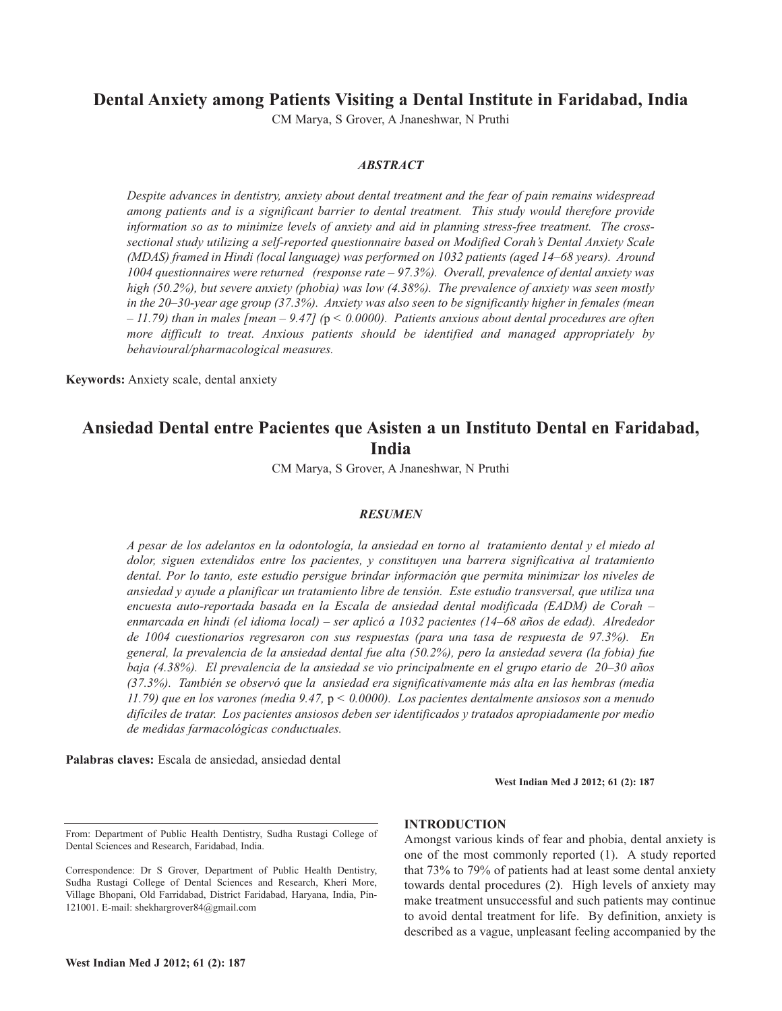# **Dental Anxiety among Patients Visiting a Dental Institute in Faridabad, India**

CM Marya, S Grover, A Jnaneshwar, N Pruthi

## *ABSTRACT*

*Despite advances in dentistry, anxiety about dental treatment and the fear of pain remains widespread among patients and is a significant barrier to dental treatment. This study would therefore provide information so as to minimize levels of anxiety and aid in planning stress-free treatment. The crosssectional study utilizing a self-reported questionnaire based on Modified Corah's Dental Anxiety Scale (MDAS) framed in Hindi (local language) was performed on 1032 patients (aged 14–68 years). Around 1004 questionnaires were returned (response rate – 97.3%). Overall, prevalence of dental anxiety was high (50.2%), but severe anxiety (phobia) was low (4.38%). The prevalence of anxiety was seen mostly in the 20–30-year age group (37.3%). Anxiety was also seen to be significantly higher in females (mean*  $-11.79$ ) than in males [mean  $-9.47$ ] (p < 0.0000). Patients anxious about dental procedures are often *more difficult to treat. Anxious patients should be identified and managed appropriately by behavioural/pharmacological measures.*

**Keywords:** Anxiety scale, dental anxiety

# **Ansiedad Dental entre Pacientes que Asisten a un Instituto Dental en Faridabad, India**

CM Marya, S Grover, A Jnaneshwar, N Pruthi

#### *RESUMEN*

A pesar de los adelantos en la odontología, la ansiedad en torno al tratamiento dental y el miedo al *dolor, siguen extendidos entre los pacientes, y constituyen una barrera significativa al tratamiento dental. Por lo tanto, este estudio persigue brindar información que permita minimizar los niveles de ansiedad y ayude a planificar un tratamiento libre de tensión. Este estudio transversal, que utiliza una encuesta auto-reportada basada en la Escala de ansiedad dental modificada (EADM) de Corah – enmarcada en hindi (el idioma local) – ser aplicó a 1032 pacientes (14–68 años de edad). Alrededor de 1004 cuestionarios regresaron con sus respuestas (para una tasa de respuesta de 97.3%). En general, la prevalencia de la ansiedad dental fue alta (50.2%), pero la ansiedad severa (la fobia) fue baja (4.38%). El prevalencia de la ansiedad se vio principalmente en el grupo etario de 20–30 años (37.3%). También se observó que la ansiedad era significativamente más alta en las hembras (media 11.79) que en los varones (media 9.47,* p *< 0.0000). Los pacientes dentalmente ansiosos son a menudo difíciles de tratar. Los pacientes ansiosos deben ser identificados y tratados apropiadamente por medio de medidas farmacológicas conductuales.*

**Palabras claves:** Escala de ansiedad, ansiedad dental

**West Indian Med J 2012; 61 (2): 187**

#### **INTRODUCTION**

Amongst various kinds of fear and phobia, dental anxiety is one of the most commonly reported (1). A study reported that 73% to 79% of patients had at least some dental anxiety towards dental procedures (2). High levels of anxiety may make treatment unsuccessful and such patients may continue to avoid dental treatment for life. By definition, anxiety is described as a vague, unpleasant feeling accompanied by the

From: Department of Public Health Dentistry, Sudha Rustagi College of Dental Sciences and Research, Faridabad, India.

Correspondence: Dr S Grover, Department of Public Health Dentistry, Sudha Rustagi College of Dental Sciences and Research, Kheri More, Village Bhopani, Old Farridabad, District Faridabad, Haryana, India, Pin-121001. E-mail: shekhargrover84@gmail.com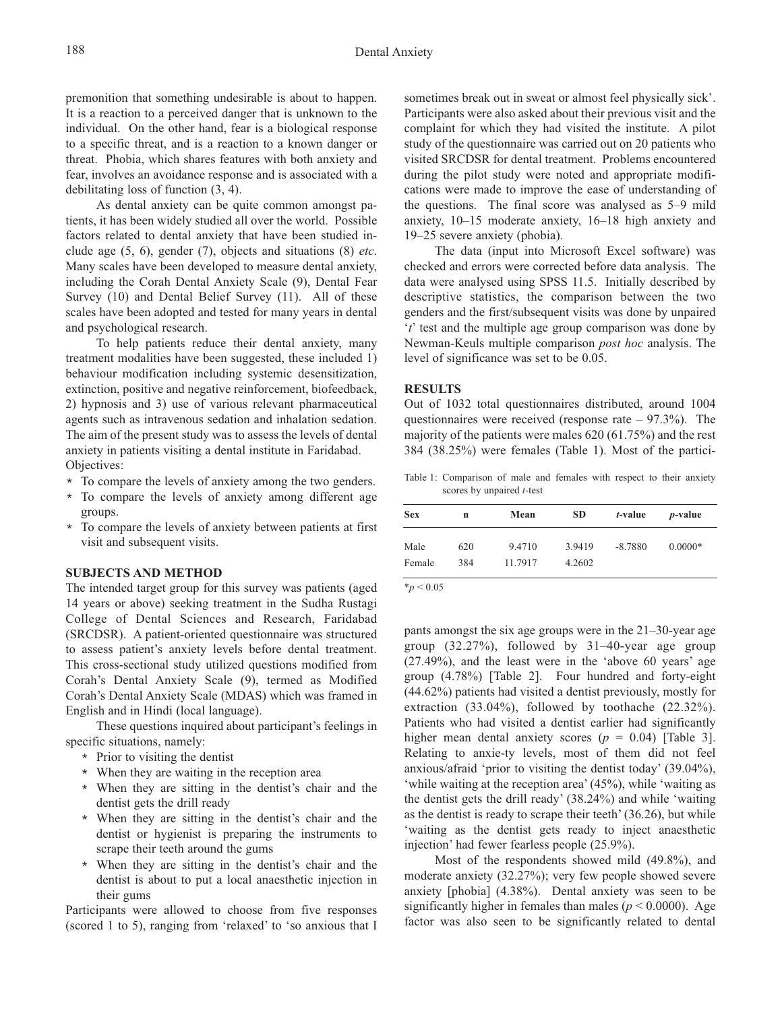premonition that something undesirable is about to happen. It is a reaction to a perceived danger that is unknown to the individual. On the other hand, fear is a biological response to a specific threat, and is a reaction to a known danger or threat. Phobia, which shares features with both anxiety and fear, involves an avoidance response and is associated with a debilitating loss of function (3, 4).

As dental anxiety can be quite common amongst patients, it has been widely studied all over the world. Possible factors related to dental anxiety that have been studied include age (5, 6), gender (7), objects and situations (8) *etc*. Many scales have been developed to measure dental anxiety, including the Corah Dental Anxiety Scale (9), Dental Fear Survey (10) and Dental Belief Survey (11). All of these scales have been adopted and tested for many years in dental and psychological research.

To help patients reduce their dental anxiety, many treatment modalities have been suggested, these included 1) behaviour modification including systemic desensitization, extinction, positive and negative reinforcement, biofeedback, 2) hypnosis and 3) use of various relevant pharmaceutical agents such as intravenous sedation and inhalation sedation. The aim of the present study was to assess the levels of dental anxiety in patients visiting a dental institute in Faridabad. Objectives:

- \* To compare the levels of anxiety among the two genders.
- \* To compare the levels of anxiety among different age groups.
- \* To compare the levels of anxiety between patients at first visit and subsequent visits.

#### **SUBJECTS AND METHOD**

The intended target group for this survey was patients (aged 14 years or above) seeking treatment in the Sudha Rustagi College of Dental Sciences and Research, Faridabad (SRCDSR). A patient-oriented questionnaire was structured to assess patient's anxiety levels before dental treatment. This cross-sectional study utilized questions modified from Corah's Dental Anxiety Scale (9), termed as Modified Corah's Dental Anxiety Scale (MDAS) which was framed in English and in Hindi (local language).

These questions inquired about participant's feelings in specific situations, namely:

- \* Prior to visiting the dentist
- \* When they are waiting in the reception area
- \* When they are sitting in the dentist's chair and the dentist gets the drill ready
- \* When they are sitting in the dentist's chair and the dentist or hygienist is preparing the instruments to scrape their teeth around the gums
- \* When they are sitting in the dentist's chair and the dentist is about to put a local anaesthetic injection in their gums

Participants were allowed to choose from five responses (scored 1 to 5), ranging from 'relaxed' to 'so anxious that I sometimes break out in sweat or almost feel physically sick'. Participants were also asked about their previous visit and the complaint for which they had visited the institute. A pilot study of the questionnaire was carried out on 20 patients who visited SRCDSR for dental treatment. Problems encountered during the pilot study were noted and appropriate modifications were made to improve the ease of understanding of the questions. The final score was analysed as 5–9 mild anxiety, 10–15 moderate anxiety, 16–18 high anxiety and 19–25 severe anxiety (phobia).

The data (input into Microsoft Excel software) was checked and errors were corrected before data analysis. The data were analysed using SPSS 11.5. Initially described by descriptive statistics, the comparison between the two genders and the first/subsequent visits was done by unpaired '*t*' test and the multiple age group comparison was done by Newman-Keuls multiple comparison *post hoc* analysis. The level of significance was set to be 0.05.

#### **RESULTS**

Out of 1032 total questionnaires distributed, around 1004 questionnaires were received (response rate  $-97.3\%$ ). The majority of the patients were males 620 (61.75%) and the rest 384 (38.25%) were females (Table 1). Most of the partici-

Table 1: Comparison of male and females with respect to their anxiety scores by unpaired *t*-test

| <b>Sex</b>     | n          | Mean              | <b>SD</b>        |           | <i>p</i> -value |
|----------------|------------|-------------------|------------------|-----------|-----------------|
| Male<br>Female | 620<br>384 | 9.4710<br>11.7917 | 3.9419<br>4.2602 | $-8.7880$ | $0.0000*$       |

\**p* < 0.05

pants amongst the six age groups were in the 21–30-year age group (32.27%), followed by 31–40-year age group (27.49%), and the least were in the 'above 60 years' age group (4.78%) [Table 2]. Four hundred and forty-eight (44.62%) patients had visited a dentist previously, mostly for extraction (33.04%), followed by toothache (22.32%). Patients who had visited a dentist earlier had significantly higher mean dental anxiety scores ( $p = 0.04$ ) [Table 3]. Relating to anxie-ty levels, most of them did not feel anxious/afraid 'prior to visiting the dentist today' (39.04%), 'while waiting at the reception area'(45%), while 'waiting as the dentist gets the drill ready' (38.24%) and while 'waiting as the dentist is ready to scrape their teeth' (36.26), but while 'waiting as the dentist gets ready to inject anaesthetic injection' had fewer fearless people (25.9%).

Most of the respondents showed mild (49.8%), and moderate anxiety (32.27%); very few people showed severe anxiety [phobia] (4.38%). Dental anxiety was seen to be significantly higher in females than males ( $p < 0.0000$ ). Age factor was also seen to be significantly related to dental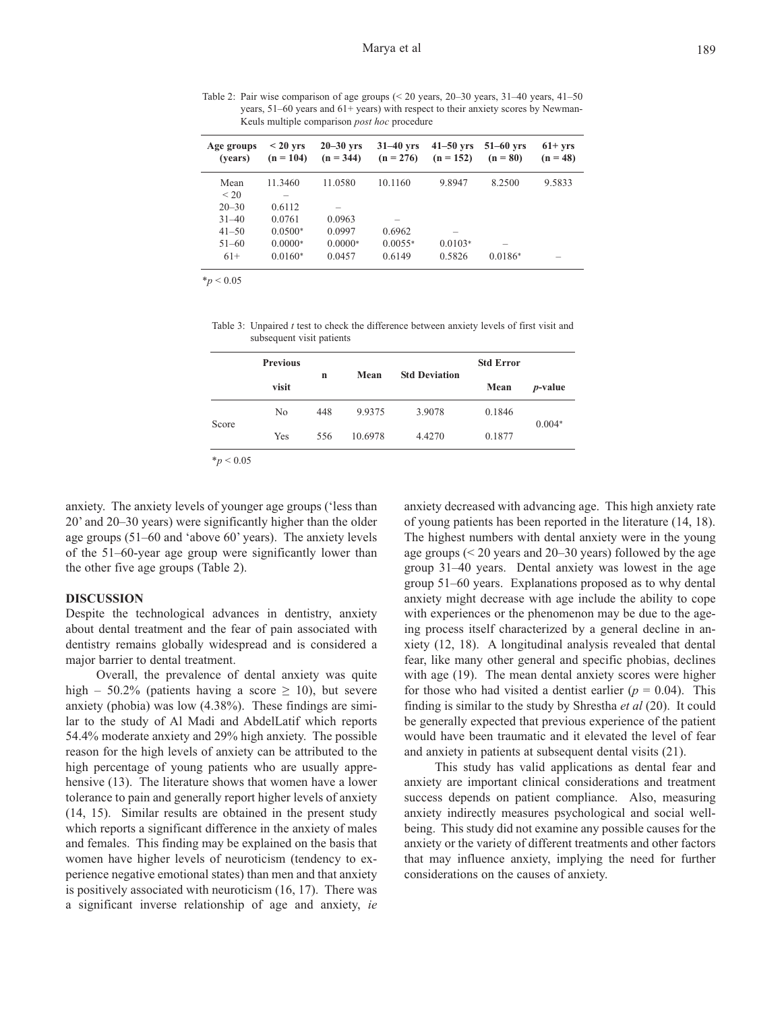Table 2: Pair wise comparison of age groups (< 20 years, 20–30 years, 31–40 years, 41–50 years, 51–60 years and 61+ years) with respect to their anxiety scores by Newman-Keuls multiple comparison *post hoc* procedure

| Age groups<br>(vears) | $< 20 \text{ yrs}$<br>$(n = 104)$ | $20 - 30$ yrs<br>$(n = 344)$ | $31-40$ yrs<br>$(n = 276)$ | $41-50$ yrs<br>$(n = 152)$ | $51-60$ yrs<br>$(n = 80)$ | $61+ yrs$<br>$(n = 48)$ |
|-----------------------|-----------------------------------|------------------------------|----------------------------|----------------------------|---------------------------|-------------------------|
| Mean<br>< 20          | 11.3460                           | 11.0580                      | 10.1160                    | 9.8947                     | 8.2500                    | 9.5833                  |
| $20 - 30$             | 0.6112                            |                              |                            |                            |                           |                         |
| $31 - 40$             | 0.0761                            | 0.0963                       | -                          |                            |                           |                         |
| $41 - 50$             | $0.0500*$                         | 0.0997                       | 0.6962                     | -                          |                           |                         |
| $51 - 60$             | $0.0000*$                         | $0.0000*$                    | $0.0055*$                  | $0.0103*$                  |                           |                         |
| $61+$                 | $0.0160*$                         | 0.0457                       | 0.6149                     | 0.5826                     | $0.0186*$                 | -                       |

\**p* < 0.05

Table 3: Unpaired *t* test to check the difference between anxiety levels of first visit and subsequent visit patients

|       | <b>Previous</b> | n   | Mean    | <b>Std Deviation</b> | <b>Std Error</b> |                 |
|-------|-----------------|-----|---------|----------------------|------------------|-----------------|
|       | visit           |     |         |                      | Mean             | <i>p</i> -value |
| Score | N <sub>0</sub>  | 448 | 9.9375  | 3.9078               | 0.1846           | $0.004*$        |
|       | Yes             | 556 | 10.6978 | 4.4270               | 0.1877           |                 |

\**p* < 0.05

anxiety. The anxiety levels of younger age groups ('less than 20' and 20–30 years) were significantly higher than the older age groups (51–60 and 'above 60' years). The anxiety levels of the 51–60-year age group were significantly lower than the other five age groups (Table 2).

#### **DISCUSSION**

Despite the technological advances in dentistry, anxiety about dental treatment and the fear of pain associated with dentistry remains globally widespread and is considered a major barrier to dental treatment.

Overall, the prevalence of dental anxiety was quite high – 50.2% (patients having a score  $\geq$  10), but severe anxiety (phobia) was low (4.38%). These findings are similar to the study of Al Madi and AbdelLatif which reports 54.4% moderate anxiety and 29% high anxiety. The possible reason for the high levels of anxiety can be attributed to the high percentage of young patients who are usually apprehensive (13). The literature shows that women have a lower tolerance to pain and generally report higher levels of anxiety (14, 15). Similar results are obtained in the present study which reports a significant difference in the anxiety of males and females. This finding may be explained on the basis that women have higher levels of neuroticism (tendency to experience negative emotional states) than men and that anxiety is positively associated with neuroticism (16, 17). There was a significant inverse relationship of age and anxiety, *ie*

anxiety decreased with advancing age. This high anxiety rate of young patients has been reported in the literature (14, 18). The highest numbers with dental anxiety were in the young age groups (< 20 years and 20–30 years) followed by the age group 31–40 years. Dental anxiety was lowest in the age group 51–60 years. Explanations proposed as to why dental anxiety might decrease with age include the ability to cope with experiences or the phenomenon may be due to the ageing process itself characterized by a general decline in anxiety (12, 18). A longitudinal analysis revealed that dental fear, like many other general and specific phobias, declines with age (19). The mean dental anxiety scores were higher for those who had visited a dentist earlier  $(p = 0.04)$ . This finding is similar to the study by Shrestha *et al* (20). It could be generally expected that previous experience of the patient would have been traumatic and it elevated the level of fear and anxiety in patients at subsequent dental visits (21).

This study has valid applications as dental fear and anxiety are important clinical considerations and treatment success depends on patient compliance. Also, measuring anxiety indirectly measures psychological and social wellbeing. This study did not examine any possible causes for the anxiety or the variety of different treatments and other factors that may influence anxiety, implying the need for further considerations on the causes of anxiety.